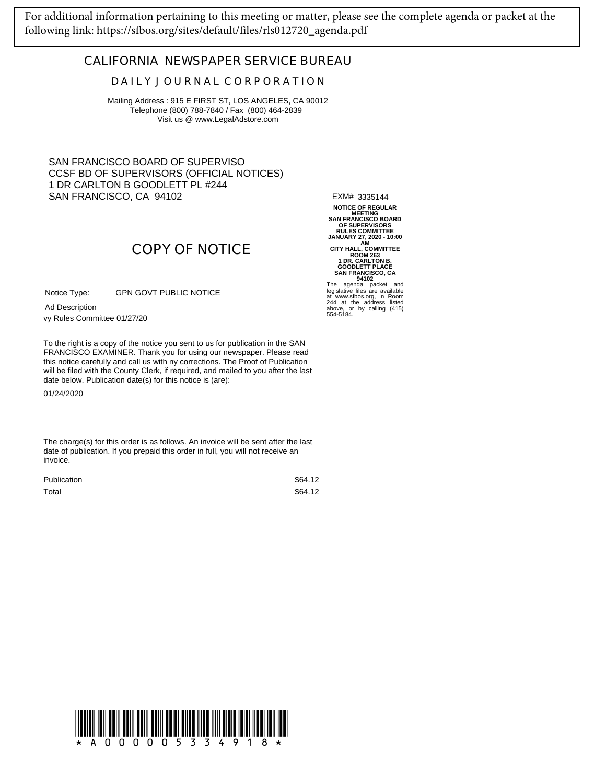[For additional information pertaining to this meeting or matter, please see the complete agenda or packet at the](https://sfbos.org/sites/default/files/rls012720_agenda.pdf)  following link: https://sfbos.org/sites/default/files/rls012720\_agenda.pdf

## **CALIFORNIA NEWSPAPER SERVICE BUREAU**

## **D A I L Y J O U R N A L C O R P O R A T I O N**

Mailing Address : 915 E FIRST ST, LOS ANGELES, CA 90012 Telephone (800) 788-7840 / Fax (800) 464-2839 Visit us @ www.LegalAdstore.com

SAN FRANCISCO BOARD OF SUPERVISO CCSF BD OF SUPERVISORS (OFFICIAL NOTICES) 1 DR CARLTON B GOODLETT PL #244 SAN FRANCISCO, CA 94102

EXM# 3335144

**NOTICE OF REGULAR MEETING SAN FRANCISCO BOARD OF SUPERVISORS RULES COMMITTEE JANUARY 27, 2020 - 10:00**<br>
CITY HALL, COMMITTEE<br>
ROOM 263<br>
1 DR. CARLTON B.<br>
GOODLETT PLACE<br>
SAN FRANCISCO, CA<br>
94102<br>
The agenda packet and<br>
legislative files are available<br>
legislative files are available

at www.sfbos.org, in Room 244 at the address listed above, or by calling (415) 554-5184.

## **COPY OF NOTICE**

GPN GOVT PUBLIC NOTICE Notice Type:

vy Rules Committee 01/27/20 Ad Description

FRANCISCO EXAMINER. Thank you for using our newspaper. Please read<br>this notice carefully and call us with ny corrections. The Proof of Publication To the right is a copy of the notice you sent to us for publication in the SAN FRANCISCO EXAMINER. Thank you for using our newspaper. Please read will be filed with the County Clerk, if required, and mailed to you after the last date below. Publication date(s) for this notice is (are):

01/24/2020

The charge(s) for this order is as follows. An invoice will be sent after the last date of publication. If you prepaid this order in full, you will not receive an invoice.

| <b>Publication</b> | \$64.12 |
|--------------------|---------|
| Total              | \$64.12 |